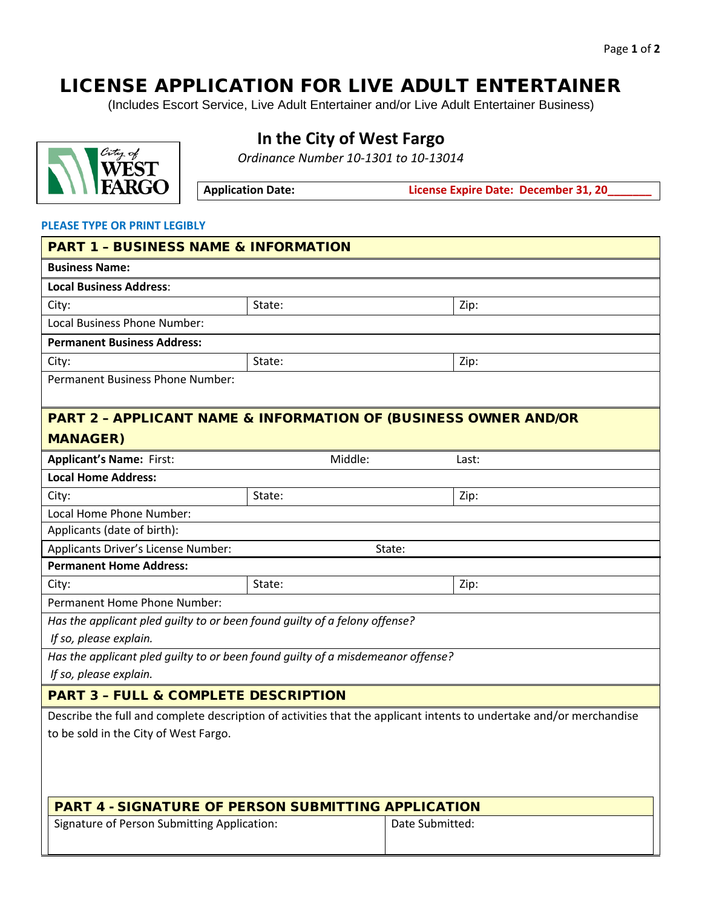# LICENSE APPLICATION FOR LIVE ADULT ENTERTAINER

(Includes Escort Service, Live Adult Entertainer and/or Live Adult Entertainer Business)



## **In the City of West Fargo**

*Ordinance Number 10-1301 to 10-13014*

Application Date: **License Expire Date: December 31, 20\_** 

#### **PLEASE TYPE OR PRINT LEGIBLY**

| <b>PART 1 - BUSINESS NAME &amp; INFORMATION</b>                                 |         |                                                                                                                     |  |  |
|---------------------------------------------------------------------------------|---------|---------------------------------------------------------------------------------------------------------------------|--|--|
| <b>Business Name:</b>                                                           |         |                                                                                                                     |  |  |
| <b>Local Business Address:</b>                                                  |         |                                                                                                                     |  |  |
| City:                                                                           | State:  | Zip:                                                                                                                |  |  |
| Local Business Phone Number:                                                    |         |                                                                                                                     |  |  |
| <b>Permanent Business Address:</b>                                              |         |                                                                                                                     |  |  |
| City:                                                                           | State:  | Zip:                                                                                                                |  |  |
| <b>Permanent Business Phone Number:</b>                                         |         |                                                                                                                     |  |  |
|                                                                                 |         |                                                                                                                     |  |  |
| <b>PART 2 - APPLICANT NAME &amp; INFORMATION OF (BUSINESS OWNER AND/OR</b>      |         |                                                                                                                     |  |  |
| <b>MANAGER)</b>                                                                 |         |                                                                                                                     |  |  |
| <b>Applicant's Name: First:</b>                                                 | Middle: | Last:                                                                                                               |  |  |
| <b>Local Home Address:</b>                                                      |         |                                                                                                                     |  |  |
| City:                                                                           | State:  | Zip:                                                                                                                |  |  |
| Local Home Phone Number:                                                        |         |                                                                                                                     |  |  |
| Applicants (date of birth):                                                     |         |                                                                                                                     |  |  |
| Applicants Driver's License Number:                                             |         | State:                                                                                                              |  |  |
| <b>Permanent Home Address:</b>                                                  |         |                                                                                                                     |  |  |
| City:                                                                           | State:  | Zip:                                                                                                                |  |  |
| Permanent Home Phone Number:                                                    |         |                                                                                                                     |  |  |
| Has the applicant pled guilty to or been found guilty of a felony offense?      |         |                                                                                                                     |  |  |
| If so, please explain.                                                          |         |                                                                                                                     |  |  |
| Has the applicant pled guilty to or been found guilty of a misdemeanor offense? |         |                                                                                                                     |  |  |
| If so, please explain.                                                          |         |                                                                                                                     |  |  |
| <b>PART 3 - FULL &amp; COMPLETE DESCRIPTION</b>                                 |         |                                                                                                                     |  |  |
|                                                                                 |         | Describe the full and complete description of activities that the applicant intents to undertake and/or merchandise |  |  |
| to be sold in the City of West Fargo.                                           |         |                                                                                                                     |  |  |
|                                                                                 |         |                                                                                                                     |  |  |
|                                                                                 |         |                                                                                                                     |  |  |
|                                                                                 |         |                                                                                                                     |  |  |
| <b>PART 4 - SIGNATURE OF PERSON SUBMITTING APPLICATION</b>                      |         |                                                                                                                     |  |  |
| Signature of Person Submitting Application:                                     |         | Date Submitted:                                                                                                     |  |  |
|                                                                                 |         |                                                                                                                     |  |  |